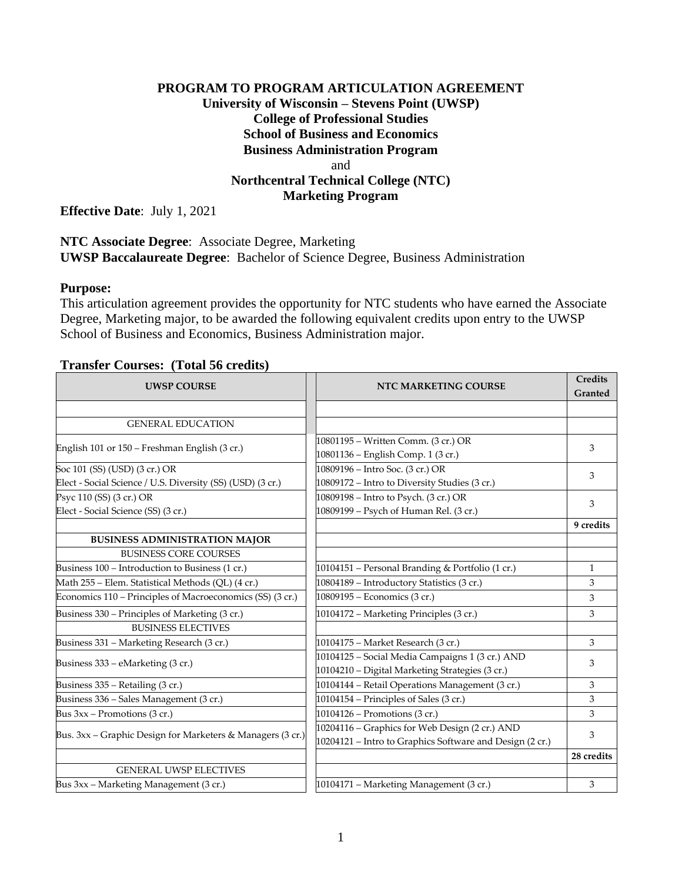## **PROGRAM TO PROGRAM ARTICULATION AGREEMENT University of Wisconsin – Stevens Point (UWSP) College of Professional Studies School of Business and Economics Business Administration Program** and **Northcentral Technical College (NTC) Marketing Program**

**Effective Date**: July 1, 2021

### **NTC Associate Degree**: Associate Degree, Marketing **UWSP Baccalaureate Degree**: Bachelor of Science Degree, Business Administration

#### **Purpose:**

This articulation agreement provides the opportunity for NTC students who have earned the Associate Degree, Marketing major, to be awarded the following equivalent credits upon entry to the UWSP School of Business and Economics, Business Administration major.

### **Transfer Courses: (Total 56 credits)**

| <b>UWSP COURSE</b>                                         | <b>NTC MARKETING COURSE</b>                                                                                | Credits<br>Granted |
|------------------------------------------------------------|------------------------------------------------------------------------------------------------------------|--------------------|
|                                                            |                                                                                                            |                    |
| <b>GENERAL EDUCATION</b>                                   |                                                                                                            |                    |
| English 101 or 150 - Freshman English (3 cr.)              | 10801195 - Written Comm. (3 cr.) OR<br>10801136 - English Comp. 1 (3 cr.)                                  | 3                  |
| Soc 101 (SS) (USD) (3 cr.) OR                              | 10809196 – Intro Soc. (3 cr.) OR                                                                           | 3                  |
| Elect - Social Science / U.S. Diversity (SS) (USD) (3 cr.) | 10809172 - Intro to Diversity Studies (3 cr.)                                                              |                    |
| Psyc 110 (SS) (3 cr.) OR                                   | 10809198 - Intro to Psych. (3 cr.) OR                                                                      | 3                  |
| Elect - Social Science (SS) (3 cr.)                        | 10809199 - Psych of Human Rel. (3 cr.)                                                                     |                    |
|                                                            |                                                                                                            | 9 credits          |
| <b>BUSINESS ADMINISTRATION MAJOR</b>                       |                                                                                                            |                    |
| <b>BUSINESS CORE COURSES</b>                               |                                                                                                            |                    |
| Business 100 - Introduction to Business (1 cr.)            | 10104151 - Personal Branding & Portfolio (1 cr.)                                                           | $\mathbf{1}$       |
| Math 255 - Elem. Statistical Methods (QL) (4 cr.)          | 10804189 - Introductory Statistics (3 cr.)                                                                 | 3                  |
| Economics 110 – Principles of Macroeconomics (SS) (3 cr.)  | 10809195 - Economics (3 cr.)                                                                               | 3                  |
| Business 330 - Principles of Marketing (3 cr.)             | 10104172 - Marketing Principles (3 cr.)                                                                    | 3                  |
| <b>BUSINESS ELECTIVES</b>                                  |                                                                                                            |                    |
| Business 331 - Marketing Research (3 cr.)                  | 10104175 - Market Research (3 cr.)                                                                         | 3                  |
| Business 333 - eMarketing (3 cr.)                          | 10104125 - Social Media Campaigns 1 (3 cr.) AND<br>10104210 - Digital Marketing Strategies (3 cr.)         | 3                  |
| Business 335 - Retailing (3 cr.)                           | 10104144 - Retail Operations Management (3 cr.)                                                            | 3                  |
| Business 336 - Sales Management (3 cr.)                    | 10104154 - Principles of Sales (3 cr.)                                                                     | 3                  |
| Bus $3xx$ – Promotions (3 cr.)                             | 10104126 - Promotions (3 cr.)                                                                              | 3                  |
| Bus. 3xx - Graphic Design for Marketers & Managers (3 cr.) | 10204116 - Graphics for Web Design (2 cr.) AND<br>10204121 - Intro to Graphics Software and Design (2 cr.) | 3                  |
|                                                            |                                                                                                            | 28 credits         |
| <b>GENERAL UWSP ELECTIVES</b>                              |                                                                                                            |                    |
| Bus 3xx - Marketing Management (3 cr.)                     | 10104171 - Marketing Management (3 cr.)                                                                    | 3                  |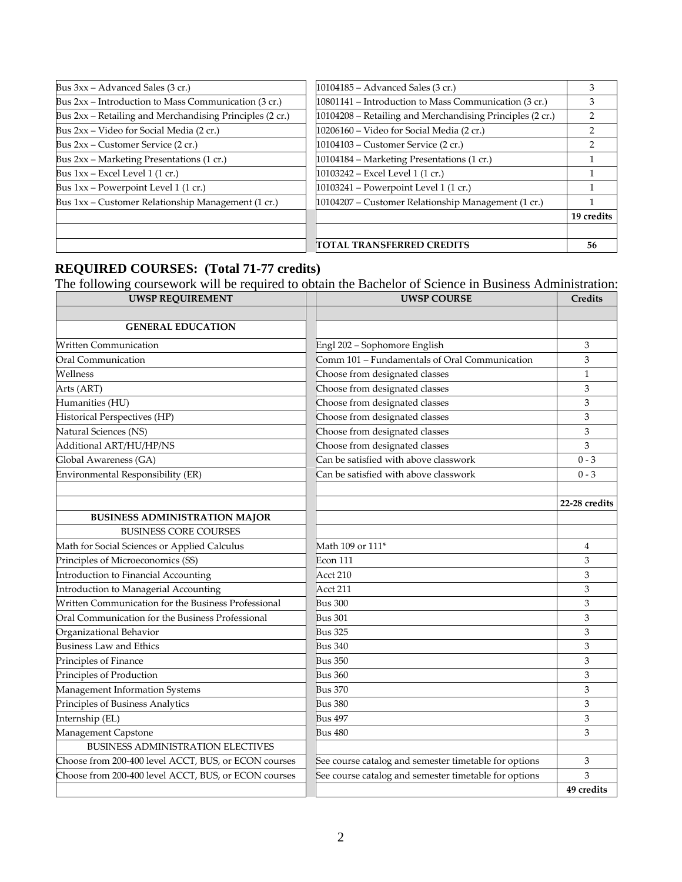| Bus 3xx - Advanced Sales (3 cr.)                         | 10104185 – Advanced Sales (3 cr.)                         | З          |
|----------------------------------------------------------|-----------------------------------------------------------|------------|
| Bus $2xx$ – Introduction to Mass Communication (3 cr.)   | 10801141 – Introduction to Mass Communication (3 cr.)     | 3          |
| Bus 2xx - Retailing and Merchandising Principles (2 cr.) | 10104208 – Retailing and Merchandising Principles (2 cr.) |            |
| Bus 2xx – Video for Social Media (2 cr.)                 | 10206160 - Video for Social Media (2 cr.)                 |            |
| Bus 2xx – Customer Service (2 cr.)                       | 10104103 - Customer Service (2 cr.)                       |            |
| Bus 2xx - Marketing Presentations (1 cr.)                | 10104184 - Marketing Presentations (1 cr.)                |            |
| Bus $1xx$ – Excel Level 1 (1 cr.)                        | 10103242 - Excel Level 1 (1 cr.)                          |            |
| Bus 1xx - Powerpoint Level 1 (1 cr.)                     | 10103241 - Powerpoint Level 1 (1 cr.)                     |            |
| Bus 1xx – Customer Relationship Management (1 cr.)       | 10104207 – Customer Relationship Management (1 cr.)       |            |
|                                                          |                                                           | 19 credits |
|                                                          |                                                           |            |
|                                                          | TOTAL TRANSFERRED CREDITS                                 | 56         |

#### **REQUIRED COURSES: (Total 71-77 credits)**

The following coursework will be required to obtain the Bachelor of Science in Business Administration:

| <b>UWSP REQUIREMENT</b>                              | <b>UWSP COURSE</b>                                    | Credits       |
|------------------------------------------------------|-------------------------------------------------------|---------------|
|                                                      |                                                       |               |
| <b>GENERAL EDUCATION</b>                             |                                                       |               |
| <b>Written Communication</b>                         | Engl 202 - Sophomore English                          | 3             |
| Oral Communication                                   | Comm 101 - Fundamentals of Oral Communication         | 3             |
| Wellness                                             | Choose from designated classes                        | $\mathbf{1}$  |
| Arts (ART)                                           | Choose from designated classes                        | 3             |
| Humanities (HU)                                      | Choose from designated classes                        | 3             |
| Historical Perspectives (HP)                         | Choose from designated classes                        | 3             |
| Natural Sciences (NS)                                | Choose from designated classes                        | 3             |
| Additional ART/HU/HP/NS                              | Choose from designated classes                        | 3             |
| Global Awareness (GA)                                | Can be satisfied with above classwork                 | $0 - 3$       |
| Environmental Responsibility (ER)                    | Can be satisfied with above classwork                 | $0 - 3$       |
|                                                      |                                                       |               |
|                                                      |                                                       | 22-28 credits |
| <b>BUSINESS ADMINISTRATION MAJOR</b>                 |                                                       |               |
| <b>BUSINESS CORE COURSES</b>                         |                                                       |               |
| Math for Social Sciences or Applied Calculus         | Math 109 or 111 <sup>*</sup>                          | 4             |
| Principles of Microeconomics (SS)                    | Econ 111                                              | 3             |
| Introduction to Financial Accounting                 | Acct 210                                              | 3             |
| Introduction to Managerial Accounting                | Acct 211                                              | 3             |
| Written Communication for the Business Professional  | <b>Bus 300</b>                                        | 3             |
| Oral Communication for the Business Professional     | Bus 301                                               | 3             |
| Organizational Behavior                              | <b>Bus 325</b>                                        | 3             |
| <b>Business Law and Ethics</b>                       | <b>Bus 340</b>                                        | 3             |
| Principles of Finance                                | <b>Bus 350</b>                                        | 3             |
| Principles of Production                             | Bus 360                                               | 3             |
| Management Information Systems                       | <b>Bus 370</b>                                        | 3             |
| Principles of Business Analytics                     | <b>Bus 380</b>                                        | 3             |
| Internship (EL)                                      | Bus 497                                               | 3             |
| Management Capstone                                  | <b>Bus 480</b>                                        | 3             |
| BUSINESS ADMINISTRATION ELECTIVES                    |                                                       |               |
| Choose from 200-400 level ACCT, BUS, or ECON courses | See course catalog and semester timetable for options | 3             |
| Choose from 200-400 level ACCT, BUS, or ECON courses | See course catalog and semester timetable for options | 3             |
|                                                      |                                                       | 49 credits    |